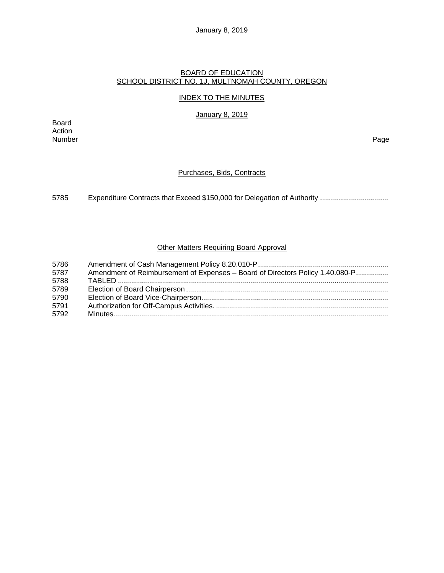## January 8, 2019

#### BOARD OF EDUCATION SCHOOL DISTRICT NO. 1J, MULTNOMAH COUNTY, OREGON

## INDEX TO THE MINUTES

January 8, 2019

Board Action Number Page

## Purchases, Bids, Contracts

5785 Expenditure Contracts that Exceed \$150,000 for Delegation of Authority .................................

# Other Matters Requiring Board Approval

| 5786 |                                                                               |
|------|-------------------------------------------------------------------------------|
| 5787 | Amendment of Reimbursement of Expenses - Board of Directors Policy 1.40.080-P |
| 5788 |                                                                               |
| 5789 |                                                                               |
| 5790 |                                                                               |
| 5791 |                                                                               |
| 5792 |                                                                               |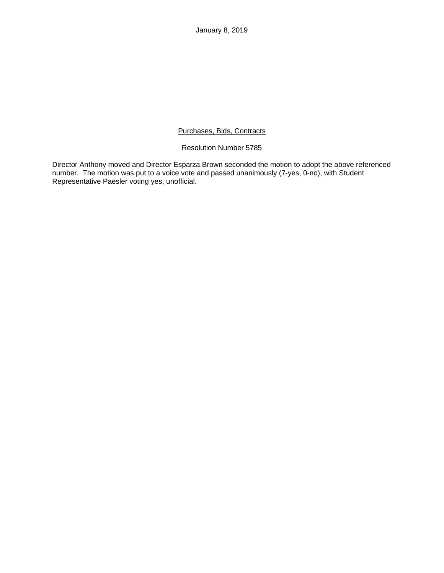January 8, 2019

## Purchases, Bids, Contracts

## Resolution Number 5785

Director Anthony moved and Director Esparza Brown seconded the motion to adopt the above referenced number. The motion was put to a voice vote and passed unanimously (7-yes, 0-no), with Student Representative Paesler voting yes, unofficial.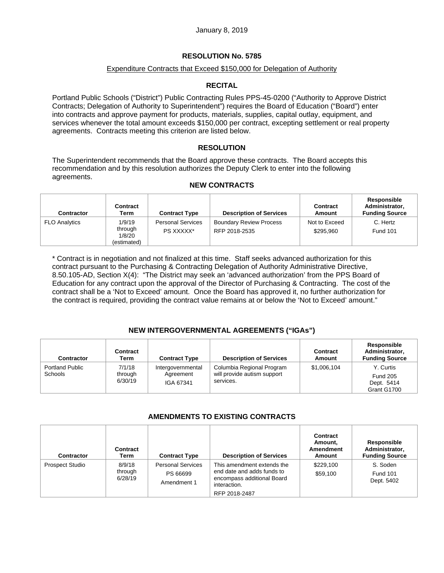## Expenditure Contracts that Exceed \$150,000 for Delegation of Authority

# **RECITAL**

Portland Public Schools ("District") Public Contracting Rules PPS-45-0200 ("Authority to Approve District Contracts; Delegation of Authority to Superintendent") requires the Board of Education ("Board") enter into contracts and approve payment for products, materials, supplies, capital outlay, equipment, and services whenever the total amount exceeds \$150,000 per contract, excepting settlement or real property agreements. Contracts meeting this criterion are listed below.

## **RESOLUTION**

The Superintendent recommends that the Board approve these contracts. The Board accepts this recommendation and by this resolution authorizes the Deputy Clerk to enter into the following agreements.

## **NEW CONTRACTS**

| <b>Contractor</b>    | Contract<br>Term                           | <b>Contract Type</b>                  | <b>Description of Services</b>                  | <b>Contract</b><br>Amount  | Responsible<br>Administrator,<br><b>Funding Source</b> |
|----------------------|--------------------------------------------|---------------------------------------|-------------------------------------------------|----------------------------|--------------------------------------------------------|
| <b>FLO Analytics</b> | 1/9/19<br>through<br>1/8/20<br>(estimated) | <b>Personal Services</b><br>PS XXXXX* | <b>Boundary Review Process</b><br>RFP 2018-2535 | Not to Exceed<br>\$295.960 | C. Hertz<br><b>Fund 101</b>                            |

\* Contract is in negotiation and not finalized at this time. Staff seeks advanced authorization for this contract pursuant to the Purchasing & Contracting Delegation of Authority Administrative Directive, 8.50.105-AD, Section X(4): "The District may seek an 'advanced authorization' from the PPS Board of Education for any contract upon the approval of the Director of Purchasing & Contracting. The cost of the contract shall be a 'Not to Exceed' amount. Once the Board has approved it, no further authorization for the contract is required, providing the contract value remains at or below the 'Not to Exceed' amount."

## **NEW INTERGOVERNMENTAL AGREEMENTS ("IGAs")**

| <b>Contractor</b>                 | <b>Contract</b><br>Term      | <b>Contract Type</b>                        | <b>Description of Services</b>                                        | Contract<br>Amount | Responsible<br>Administrator,<br><b>Funding Source</b>    |
|-----------------------------------|------------------------------|---------------------------------------------|-----------------------------------------------------------------------|--------------------|-----------------------------------------------------------|
| <b>Portland Public</b><br>Schools | 7/1/18<br>through<br>6/30/19 | Intergovernmental<br>Agreement<br>IGA 67341 | Columbia Regional Program<br>will provide autism support<br>services. | \$1,006,104        | Y. Curtis<br><b>Fund 205</b><br>Dept. 5414<br>Grant G1700 |

## **AMENDMENTS TO EXISTING CONTRACTS**

| <b>Contractor</b>      | Contract<br>Term             | <b>Contract Type</b>                                | <b>Description of Services</b>                                                                                          | Contract<br>Amount,<br><b>Amendment</b><br>Amount | <b>Responsible</b><br>Administrator,<br><b>Funding Source</b> |
|------------------------|------------------------------|-----------------------------------------------------|-------------------------------------------------------------------------------------------------------------------------|---------------------------------------------------|---------------------------------------------------------------|
| <b>Prospect Studio</b> | 8/9/18<br>through<br>6/28/19 | <b>Personal Services</b><br>PS 66699<br>Amendment 1 | This amendment extends the<br>end date and adds funds to<br>encompass additional Board<br>interaction.<br>RFP 2018-2487 | \$229.100<br>\$59,100                             | S. Soden<br><b>Fund 101</b><br>Dept. 5402                     |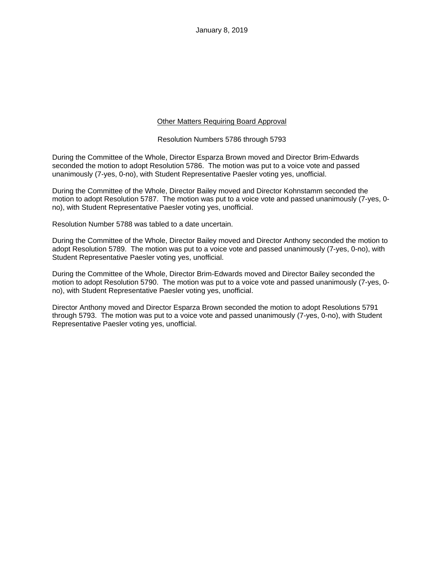## Other Matters Requiring Board Approval

#### Resolution Numbers 5786 through 5793

During the Committee of the Whole, Director Esparza Brown moved and Director Brim-Edwards seconded the motion to adopt Resolution 5786. The motion was put to a voice vote and passed unanimously (7-yes, 0-no), with Student Representative Paesler voting yes, unofficial.

During the Committee of the Whole, Director Bailey moved and Director Kohnstamm seconded the motion to adopt Resolution 5787. The motion was put to a voice vote and passed unanimously (7-yes, 0 no), with Student Representative Paesler voting yes, unofficial.

Resolution Number 5788 was tabled to a date uncertain.

During the Committee of the Whole, Director Bailey moved and Director Anthony seconded the motion to adopt Resolution 5789. The motion was put to a voice vote and passed unanimously (7-yes, 0-no), with Student Representative Paesler voting yes, unofficial.

During the Committee of the Whole, Director Brim-Edwards moved and Director Bailey seconded the motion to adopt Resolution 5790. The motion was put to a voice vote and passed unanimously (7-yes, 0 no), with Student Representative Paesler voting yes, unofficial.

Director Anthony moved and Director Esparza Brown seconded the motion to adopt Resolutions 5791 through 5793. The motion was put to a voice vote and passed unanimously (7-yes, 0-no), with Student Representative Paesler voting yes, unofficial.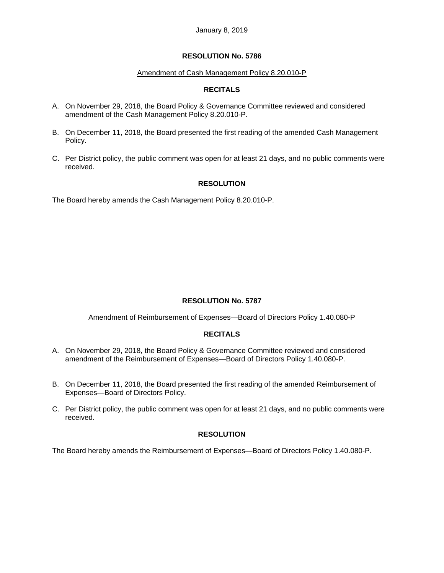#### Amendment of Cash Management Policy 8.20.010-P

## **RECITALS**

- A. On November 29, 2018, the Board Policy & Governance Committee reviewed and considered amendment of the Cash Management Policy 8.20.010-P.
- B. On December 11, 2018, the Board presented the first reading of the amended Cash Management Policy.
- C. Per District policy, the public comment was open for at least 21 days, and no public comments were received.

## **RESOLUTION**

The Board hereby amends the Cash Management Policy 8.20.010-P.

## **RESOLUTION No. 5787**

#### Amendment of Reimbursement of Expenses—Board of Directors Policy 1.40.080-P

## **RECITALS**

- A. On November 29, 2018, the Board Policy & Governance Committee reviewed and considered amendment of the Reimbursement of Expenses—Board of Directors Policy 1.40.080-P.
- B. On December 11, 2018, the Board presented the first reading of the amended Reimbursement of Expenses—Board of Directors Policy.
- C. Per District policy, the public comment was open for at least 21 days, and no public comments were received.

#### **RESOLUTION**

The Board hereby amends the Reimbursement of Expenses—Board of Directors Policy 1.40.080-P.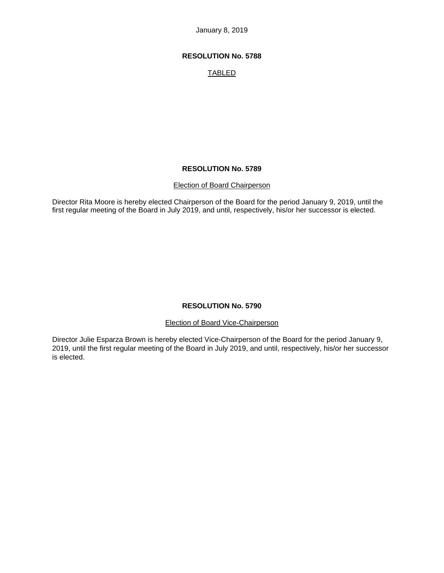January 8, 2019

## **RESOLUTION No. 5788**

# TABLED

#### **RESOLUTION No. 5789**

#### Election of Board Chairperson

Director Rita Moore is hereby elected Chairperson of the Board for the period January 9, 2019, until the first regular meeting of the Board in July 2019, and until, respectively, his/or her successor is elected.

### **RESOLUTION No. 5790**

Election of Board Vice-Chairperson

Director Julie Esparza Brown is hereby elected Vice-Chairperson of the Board for the period January 9, 2019, until the first regular meeting of the Board in July 2019, and until, respectively, his/or her successor is elected.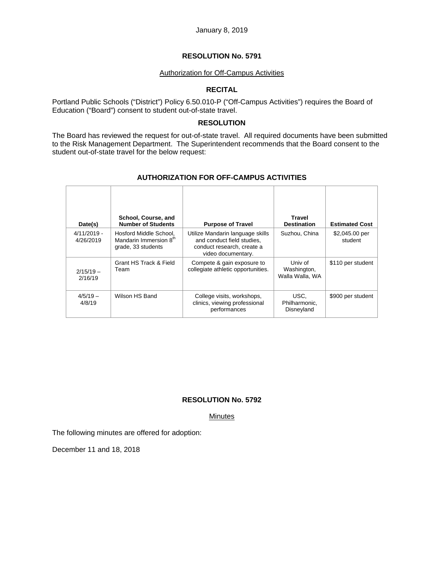#### Authorization for Off-Campus Activities

## **RECITAL**

Portland Public Schools ("District") Policy 6.50.010-P ("Off-Campus Activities") requires the Board of Education ("Board") consent to student out-of-state travel.

#### **RESOLUTION**

The Board has reviewed the request for out-of-state travel. All required documents have been submitted to the Risk Management Department. The Superintendent recommends that the Board consent to the student out-of-state travel for the below request:

| Date(s)                    | School, Course, and<br><b>Number of Students</b>                                   | <b>Purpose of Travel</b>                                                                                           | <b>Travel</b><br><b>Destination</b>       | <b>Estimated Cost</b>     |
|----------------------------|------------------------------------------------------------------------------------|--------------------------------------------------------------------------------------------------------------------|-------------------------------------------|---------------------------|
| $4/11/2019 -$<br>4/26/2019 | Hosford Middle School,<br>Mandarin Immersion 8 <sup>th</sup><br>grade, 33 students | Utilize Mandarin language skills<br>and conduct field studies.<br>conduct research, create a<br>video documentary. | Suzhou, China                             | \$2,045.00 per<br>student |
| $2/15/19 -$<br>2/16/19     | Grant HS Track & Field<br>Team                                                     | Compete & gain exposure to<br>collegiate athletic opportunities.                                                   | Univ of<br>Washington,<br>Walla Walla, WA | \$110 per student         |
| $4/5/19 -$<br>4/8/19       | Wilson HS Band                                                                     | College visits, workshops,<br>clinics, viewing professional<br>performances                                        | USC.<br>Philharmonic,<br>Disneyland       | \$900 per student         |

## **AUTHORIZATION FOR OFF-CAMPUS ACTIVITIES**

## **RESOLUTION No. 5792**

Minutes

The following minutes are offered for adoption:

December 11 and 18, 2018